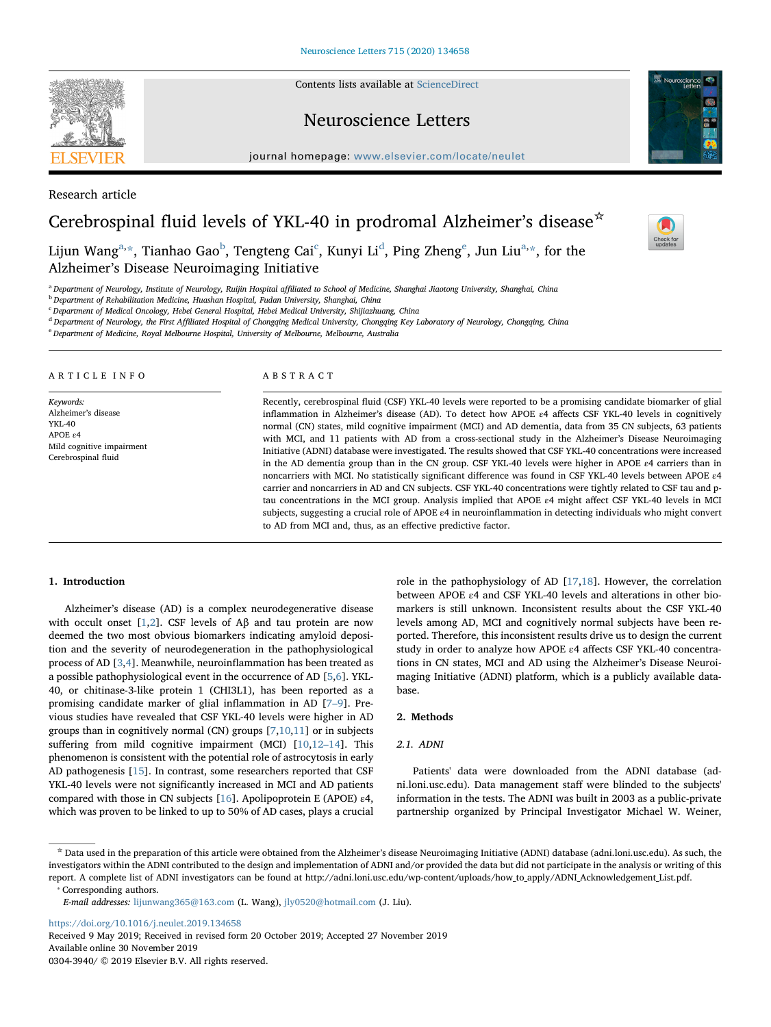Contents lists available at [ScienceDirect](http://www.sciencedirect.com/science/journal/03043940)

# Neuroscience Letters

journal homepage: [www.elsevier.com/locate/neulet](https://www.elsevier.com/locate/neulet)



 $\frac{N}{2}$ 

Research article

# Cerebrospinal fluid levels of YKL-40 in prodromal Alzheimer's disease☆

Lijun Wang $^{\rm a, \ast},$  $^{\rm a, \ast},$  $^{\rm a, \ast},$  Tianhao Gao $^{\rm b}$  $^{\rm b}$  $^{\rm b}$ , T[e](#page-0-5)ngteng Cai $^{\rm c}$  $^{\rm c}$  $^{\rm c}$ , Kunyi Li $^{\rm d}$  $^{\rm d}$  $^{\rm d}$ , Ping Zheng $^{\rm e}$ , Jun Liu $^{\rm a, \ast},$  for the Alzheimer's Disease Neuroimaging Initiative

<span id="page-0-0"></span>a Department of Neurology, Institute of Neurology, Ruijin Hospital affiliated to School of Medicine, Shanghai Jiaotong University, Shanghai, China

<span id="page-0-2"></span>**b** Department of Rehabilitation Medicine, Huashan Hospital, Fudan University, Shanghai, China

<span id="page-0-3"></span><sup>c</sup> Department of Medical Oncology, Hebei General Hospital, Hebei Medical University, Shijiazhuang, China

<span id="page-0-4"></span><sup>d</sup> Department of Neurology, the First Affiliated Hospital of Chongqing Medical University, Chongqing Key Laboratory of Neurology, Chongqing, China

<span id="page-0-5"></span><sup>e</sup> Department of Medicine, Royal Melbourne Hospital, University of Melbourne, Melbourne, Australia

ARTICLE INFO

Keywords: Alzheimer's disease YKL-40 APOE ε4 Mild cognitive impairment Cerebrospinal fluid

#### ABSTRACT

Recently, cerebrospinal fluid (CSF) YKL-40 levels were reported to be a promising candidate biomarker of glial inflammation in Alzheimer's disease (AD). To detect how APOE ε4 affects CSF YKL-40 levels in cognitively normal (CN) states, mild cognitive impairment (MCI) and AD dementia, data from 35 CN subjects, 63 patients with MCI, and 11 patients with AD from a cross-sectional study in the Alzheimer's Disease Neuroimaging Initiative (ADNI) database were investigated. The results showed that CSF YKL-40 concentrations were increased in the AD dementia group than in the CN group. CSF YKL-40 levels were higher in APOE ε4 carriers than in noncarriers with MCI. No statistically significant difference was found in CSF YKL-40 levels between APOE ε4 carrier and noncarriers in AD and CN subjects. CSF YKL-40 concentrations were tightly related to CSF tau and ptau concentrations in the MCI group. Analysis implied that APOE ε4 might affect CSF YKL-40 levels in MCI subjects, suggesting a crucial role of APOE ε4 in neuroinflammation in detecting individuals who might convert to AD from MCI and, thus, as an effective predictive factor.

# 1. Introduction

Alzheimer's disease (AD) is a complex neurodegenerative disease with occult onset  $[1,2]$  $[1,2]$  $[1,2]$ . CSF levels of AB and tau protein are now deemed the two most obvious biomarkers indicating amyloid deposition and the severity of neurodegeneration in the pathophysiological process of AD [\[3](#page-3-2)[,4\]](#page-3-3). Meanwhile, neuroinflammation has been treated as a possible pathophysiological event in the occurrence of AD [[5](#page-3-4),[6](#page-3-5)]. YKL-40, or chitinase-3-like protein 1 (CHI3L1), has been reported as a promising candidate marker of glial inflammation in AD [\[7](#page-3-6)–9]. Previous studies have revealed that CSF YKL-40 levels were higher in AD groups than in cognitively normal (CN) groups [[7](#page-3-6),[10,](#page-3-7)[11\]](#page-3-8) or in subjects suffering from mild cognitive impairment (MCI) [[10,](#page-3-7)[12](#page-3-9)–14]. This phenomenon is consistent with the potential role of astrocytosis in early AD pathogenesis [[15\]](#page-3-10). In contrast, some researchers reported that CSF YKL-40 levels were not significantly increased in MCI and AD patients compared with those in CN subjects [\[16](#page-4-0)]. Apolipoprotein E (APOE) ε4, which was proven to be linked to up to 50% of AD cases, plays a crucial role in the pathophysiology of AD [\[17](#page-4-1)[,18](#page-4-2)]. However, the correlation between APOE ε4 and CSF YKL-40 levels and alterations in other biomarkers is still unknown. Inconsistent results about the CSF YKL-40 levels among AD, MCI and cognitively normal subjects have been reported. Therefore, this inconsistent results drive us to design the current study in order to analyze how APOE ε4 affects CSF YKL-40 concentrations in CN states, MCI and AD using the Alzheimer's Disease Neuroimaging Initiative (ADNI) platform, which is a publicly available database.

#### 2. Methods

# 2.1. ADNI

Patients' data were downloaded from the ADNI database (adni.loni.usc.edu). Data management staff were blinded to the subjects' information in the tests. The ADNI was built in 2003 as a public-private partnership organized by Principal Investigator Michael W. Weiner,

<span id="page-0-1"></span>⁎ Corresponding authors.

E-mail addresses: [lijunwang365@163.com](mailto:lijunwang365@163.com) (L. Wang), [jly0520@hotmail.com](mailto:jly0520@hotmail.com) (J. Liu).

<https://doi.org/10.1016/j.neulet.2019.134658>

Received 9 May 2019; Received in revised form 20 October 2019; Accepted 27 November 2019 Available online 30 November 2019

0304-3940/ © 2019 Elsevier B.V. All rights reserved.



<sup>☆</sup> Data used in the preparation of this article were obtained from the Alzheimer's disease Neuroimaging Initiative (ADNI) database (adni.loni.usc.edu). As such, the investigators within the ADNI contributed to the design and implementation of ADNI and/or provided the data but did not participate in the analysis or writing of this report. A complete list of ADNI investigators can be found at http://adni.loni.usc.edu/wp-content/uploads/how to apply/ADNI Acknowledgement List.pdf.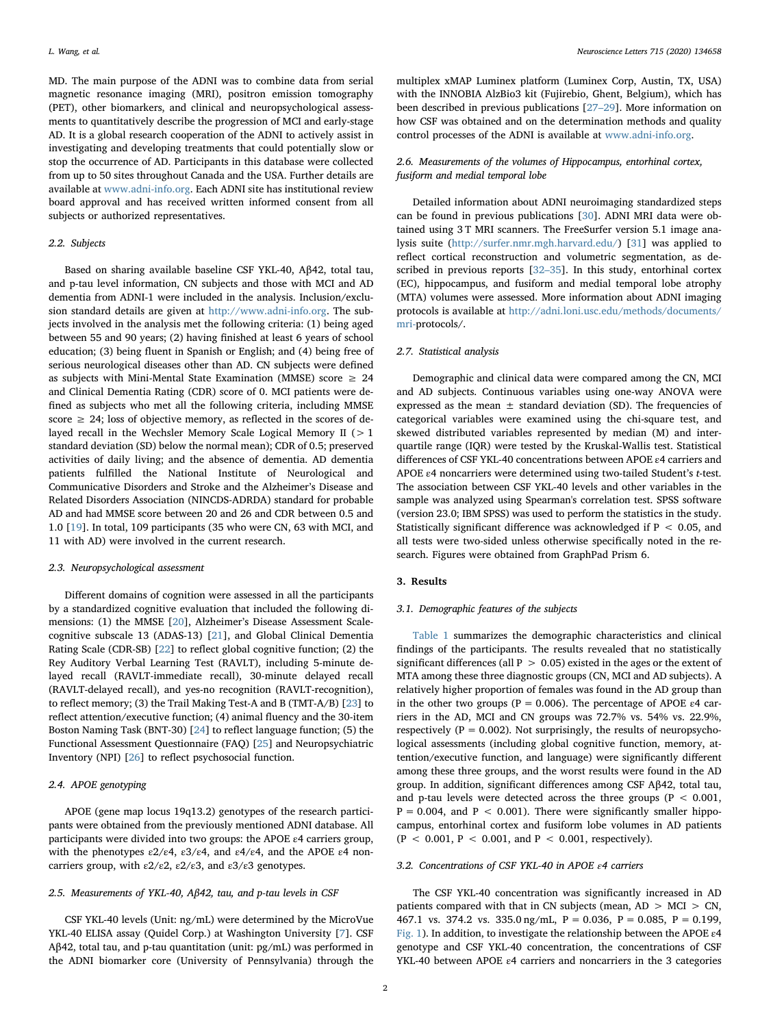MD. The main purpose of the ADNI was to combine data from serial magnetic resonance imaging (MRI), positron emission tomography (PET), other biomarkers, and clinical and neuropsychological assessments to quantitatively describe the progression of MCI and early-stage AD. It is a global research cooperation of the ADNI to actively assist in investigating and developing treatments that could potentially slow or stop the occurrence of AD. Participants in this database were collected from up to 50 sites throughout Canada and the USA. Further details are available at [www.adni-info.org](http://www.adni-info.org). Each ADNI site has institutional review board approval and has received written informed consent from all subjects or authorized representatives.

# 2.2. Subjects

Based on sharing available baseline CSF YKL-40, Aβ42, total tau, and p-tau level information, CN subjects and those with MCI and AD dementia from ADNI-1 were included in the analysis. Inclusion/exclusion standard details are given at <http://www.adni-info.org>. The subjects involved in the analysis met the following criteria: (1) being aged between 55 and 90 years; (2) having finished at least 6 years of school education; (3) being fluent in Spanish or English; and (4) being free of serious neurological diseases other than AD. CN subjects were defined as subjects with Mini-Mental State Examination (MMSE) score  $\geq 24$ and Clinical Dementia Rating (CDR) score of 0. MCI patients were defined as subjects who met all the following criteria, including MMSE score  $\geq$  24; loss of objective memory, as reflected in the scores of delayed recall in the Wechsler Memory Scale Logical Memory II ( $>1$ standard deviation (SD) below the normal mean); CDR of 0.5; preserved activities of daily living; and the absence of dementia. AD dementia patients fulfilled the National Institute of Neurological and Communicative Disorders and Stroke and the Alzheimer's Disease and Related Disorders Association (NINCDS-ADRDA) standard for probable AD and had MMSE score between 20 and 26 and CDR between 0.5 and 1.0 [\[19](#page-4-3)]. In total, 109 participants (35 who were CN, 63 with MCI, and 11 with AD) were involved in the current research.

# 2.3. Neuropsychological assessment

Different domains of cognition were assessed in all the participants by a standardized cognitive evaluation that included the following dimensions: (1) the MMSE [\[20](#page-4-4)], Alzheimer's Disease Assessment Scalecognitive subscale 13 (ADAS-13) [\[21](#page-4-5)], and Global Clinical Dementia Rating Scale (CDR-SB) [[22\]](#page-4-6) to reflect global cognitive function; (2) the Rey Auditory Verbal Learning Test (RAVLT), including 5-minute delayed recall (RAVLT-immediate recall), 30-minute delayed recall (RAVLT-delayed recall), and yes-no recognition (RAVLT-recognition), to reflect memory; (3) the Trail Making Test-A and B (TMT-A/B) [\[23](#page-4-7)] to reflect attention/executive function; (4) animal fluency and the 30-item Boston Naming Task (BNT-30) [[24\]](#page-4-8) to reflect language function; (5) the Functional Assessment Questionnaire (FAQ) [\[25](#page-4-9)] and Neuropsychiatric Inventory (NPI) [\[26](#page-4-10)] to reflect psychosocial function.

# 2.4. APOE genotyping

APOE (gene map locus 19q13.2) genotypes of the research participants were obtained from the previously mentioned ADNI database. All participants were divided into two groups: the APOE ε4 carriers group, with the phenotypes  $\epsilon 2/\epsilon 4$ ,  $\epsilon 3/\epsilon 4$ , and  $\epsilon 4/\epsilon 4$ , and the APOE  $\epsilon 4$  noncarriers group, with  $\epsilon 2/\epsilon 2$ ,  $\epsilon 2/\epsilon 3$ , and  $\epsilon 3/\epsilon 3$  genotypes.

#### 2.5. Measurements of YKL-40, Aβ42, tau, and p-tau levels in CSF

CSF YKL-40 levels (Unit: ng/mL) were determined by the MicroVue YKL-40 ELISA assay (Quidel Corp.) at Washington University [\[7\]](#page-3-6). CSF Aβ42, total tau, and p-tau quantitation (unit: pg/mL) was performed in the ADNI biomarker core (University of Pennsylvania) through the multiplex xMAP Luminex platform (Luminex Corp, Austin, TX, USA) with the INNOBIA AlzBio3 kit (Fujirebio, Ghent, Belgium), which has been described in previous publications [\[27](#page-4-11)–29]. More information on how CSF was obtained and on the determination methods and quality control processes of the ADNI is available at [www.adni-info.org](http://www.adni-info.org).

# 2.6. Measurements of the volumes of Hippocampus, entorhinal cortex, fusiform and medial temporal lobe

Detailed information about ADNI neuroimaging standardized steps can be found in previous publications [[30\]](#page-4-12). ADNI MRI data were obtained using 3 T MRI scanners. The FreeSurfer version 5.1 image analysis suite [\(http://surfer.nmr.mgh.harvard.edu/](http://surfer.nmr.mgh.harvard.edu/)) [[31](#page-4-13)] was applied to reflect cortical reconstruction and volumetric segmentation, as described in previous reports [32–[35\]](#page-4-14). In this study, entorhinal cortex (EC), hippocampus, and fusiform and medial temporal lobe atrophy (MTA) volumes were assessed. More information about ADNI imaging protocols is available at [http://adni.loni.usc.edu/methods/documents/](http://adni.loni.usc.edu/methods/documents/mri-) [mri-](http://adni.loni.usc.edu/methods/documents/mri-)protocols/.

# 2.7. Statistical analysis

Demographic and clinical data were compared among the CN, MCI and AD subjects. Continuous variables using one-way ANOVA were expressed as the mean  $\pm$  standard deviation (SD). The frequencies of categorical variables were examined using the chi-square test, and skewed distributed variables represented by median (M) and interquartile range (IQR) were tested by the Kruskal-Wallis test. Statistical differences of CSF YKL-40 concentrations between APOE ε4 carriers and APOE ε4 noncarriers were determined using two-tailed Student's t-test. The association between CSF YKL-40 levels and other variables in the sample was analyzed using Spearman's correlation test. SPSS software (version 23.0; IBM SPSS) was used to perform the statistics in the study. Statistically significant difference was acknowledged if P < 0.05, and all tests were two-sided unless otherwise specifically noted in the research. Figures were obtained from GraphPad Prism 6.

# 3. Results

#### 3.1. Demographic features of the subjects

[Table 1](#page-2-0) summarizes the demographic characteristics and clinical findings of the participants. The results revealed that no statistically significant differences (all P  $> 0.05$ ) existed in the ages or the extent of MTA among these three diagnostic groups (CN, MCI and AD subjects). A relatively higher proportion of females was found in the AD group than in the other two groups (P = 0.006). The percentage of APOE  $\varepsilon$ 4 carriers in the AD, MCI and CN groups was 72.7% vs. 54% vs. 22.9%, respectively ( $P = 0.002$ ). Not surprisingly, the results of neuropsychological assessments (including global cognitive function, memory, attention/executive function, and language) were significantly different among these three groups, and the worst results were found in the AD group. In addition, significant differences among CSF Aβ42, total tau, and p-tau levels were detected across the three groups ( $P < 0.001$ ,  $P = 0.004$ , and  $P < 0.001$ ). There were significantly smaller hippocampus, entorhinal cortex and fusiform lobe volumes in AD patients  $(P < 0.001, P < 0.001, and P < 0.001, respectively)$ .

# 3.2. Concentrations of CSF YKL-40 in APOE ε4 carriers

The CSF YKL-40 concentration was significantly increased in AD patients compared with that in CN subjects (mean,  $AD > MCI > CN$ , 467.1 vs. 374.2 vs. 335.0 ng/mL, P = 0.036, P = 0.085, P = 0.199, [Fig. 1](#page-2-1)). In addition, to investigate the relationship between the APOE  $\varepsilon$ 4 genotype and CSF YKL-40 concentration, the concentrations of CSF YKL-40 between APOE ε4 carriers and noncarriers in the 3 categories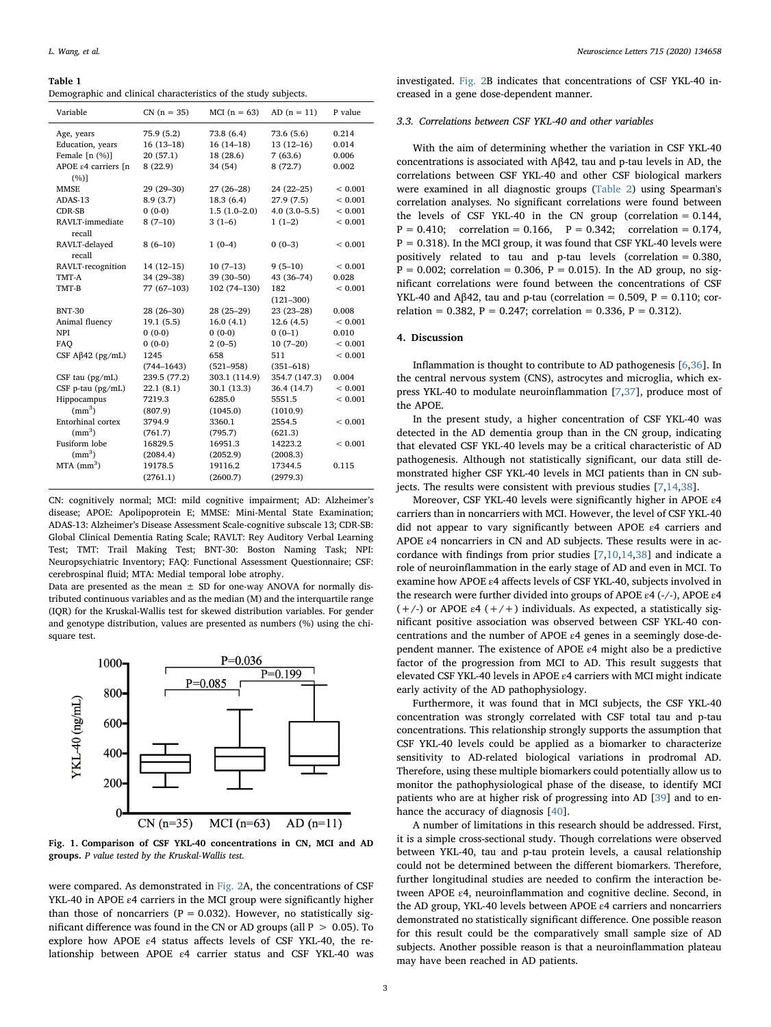#### <span id="page-2-0"></span>Table 1

Demographic and clinical characteristics of the study subjects.

| Variable                                 | $CN (n = 35)$  | MCI $(n = 63)$ | $AD(n = 11)$   | P value     |
|------------------------------------------|----------------|----------------|----------------|-------------|
| Age, years                               | 75.9 (5.2)     | 73.8 (6.4)     | 73.6 (5.6)     | 0.214       |
| Education, years                         | $16(13-18)$    | $16(14-18)$    | $13(12-16)$    | 0.014       |
| Female $[n (%)]$                         | 20(57.1)       | 18 (28.6)      | 7(63.6)        | 0.006       |
| APOE $\varepsilon$ 4 carriers In<br>(%)] | 8(22.9)        | 34 (54)        | 8(72.7)        | 0.002       |
| <b>MMSE</b>                              | 29 (29-30)     | $27(26-28)$    | 24 (22-25)     | ${}< 0.001$ |
| ADAS-13                                  | 8.9(3.7)       | 18.3(6.4)      | 27.9(7.5)      | ${}< 0.001$ |
| <b>CDR-SB</b>                            | $0(0-0)$       | $1.5(1.0-2.0)$ | $4.0(3.0-5.5)$ | ${}< 0.001$ |
| RAVLT-immediate<br>recall                | $8(7-10)$      | $3(1-6)$       | $1(1-2)$       | < 0.001     |
| RAVLT-delayed<br>recall                  | $8(6-10)$      | $1(0-4)$       | $0(0-3)$       | ${}< 0.001$ |
| RAVLT-recognition                        | $14(12-15)$    | $10(7-13)$     | $9(5-10)$      | ${}< 0.001$ |
| TMT-A                                    | 34 (29-38)     | 39 (30-50)     | 43 (36-74)     | 0.028       |
| TMT-B                                    | 77 (67-103)    | 102 (74-130)   | 182            | ${}< 0.001$ |
|                                          |                |                | $(121 - 300)$  |             |
| <b>BNT-30</b>                            | 28 (26-30)     | 28 (25-29)     | $23(23-28)$    | 0.008       |
| Animal fluency                           | 19.1(5.5)      | 16.0(4.1)      | 12.6(4.5)      | ${}< 0.001$ |
| <b>NPI</b>                               | $0(0-0)$       | $0(0-0)$       | $0(0-1)$       | 0.010       |
| FAO                                      | $0(0-0)$       | $2(0-5)$       | $10(7-20)$     | ${}< 0.001$ |
| CSF $A\beta$ 42 (pg/mL)                  | 1245           | 658            | 511            | ${}< 0.001$ |
|                                          | $(744 - 1643)$ | $(521 - 958)$  | $(351 - 618)$  |             |
| CSF tau $(pg/mL)$                        | 239.5 (77.2)   | 303.1 (114.9)  | 354.7 (147.3)  | 0.004       |
| CSF p-tau (pg/mL)                        | 22.1(8.1)      | 30.1 (13.3)    | 36.4 (14.7)    | ${}< 0.001$ |
| Hippocampus                              | 7219.3         | 6285.0         | 5551.5         | ${}< 0.001$ |
| (mm <sup>3</sup> )                       | (807.9)        | (1045.0)       | (1010.9)       |             |
| Entorhinal cortex                        | 3794.9         | 3360.1         | 2554.5         | ${}< 0.001$ |
| (mm <sup>3</sup> )                       | (761.7)        | (795.7)        | (621.3)        |             |
| Fusiform lobe                            | 16829.5        | 16951.3        | 14223.2        | ${}< 0.001$ |
| (mm <sup>3</sup> )                       | (2084.4)       | (2052.9)       | (2008.3)       |             |
| $MTA$ (mm <sup>3</sup> )                 | 19178.5        | 19116.2        | 17344.5        | 0.115       |
|                                          | (2761.1)       | (2600.7)       | (2979.3)       |             |

CN: cognitively normal; MCI: mild cognitive impairment; AD: Alzheimer's disease; APOE: Apolipoprotein E; MMSE: Mini-Mental State Examination; ADAS-13: Alzheimer's Disease Assessment Scale-cognitive subscale 13; CDR-SB: Global Clinical Dementia Rating Scale; RAVLT: Rey Auditory Verbal Learning Test; TMT: Trail Making Test; BNT-30: Boston Naming Task; NPI: Neuropsychiatric Inventory; FAQ: Functional Assessment Questionnaire; CSF: cerebrospinal fluid; MTA: Medial temporal lobe atrophy.

Data are presented as the mean  $\pm$  SD for one-way ANOVA for normally distributed continuous variables and as the median (M) and the interquartile range (IQR) for the Kruskal-Wallis test for skewed distribution variables. For gender and genotype distribution, values are presented as numbers (%) using the chisquare test.

<span id="page-2-1"></span>

Fig. 1. Comparison of CSF YKL-40 concentrations in CN, MCI and AD groups. P value tested by the Kruskal-Wallis test.

were compared. As demonstrated in [Fig. 2A](#page-3-11), the concentrations of CSF YKL-40 in APOE ε4 carriers in the MCI group were significantly higher than those of noncarriers ( $P = 0.032$ ). However, no statistically significant difference was found in the CN or AD groups (all  $P > 0.05$ ). To explore how APOE ε4 status affects levels of CSF YKL-40, the relationship between APOE ε4 carrier status and CSF YKL-40 was investigated. [Fig. 2B](#page-3-11) indicates that concentrations of CSF YKL-40 increased in a gene dose-dependent manner.

# 3.3. Correlations between CSF YKL-40 and other variables

With the aim of determining whether the variation in CSF YKL-40 concentrations is associated with Aβ42, tau and p-tau levels in AD, the correlations between CSF YKL-40 and other CSF biological markers were examined in all diagnostic groups [\(Table 2](#page-3-12)) using Spearman's correlation analyses. No significant correlations were found between the levels of CSF YKL-40 in the CN group (correlation  $= 0.144$ ,  $P = 0.410$ ; correlation = 0.166,  $P = 0.342$ ; correlation = 0.174,  $P = 0.318$ ). In the MCI group, it was found that CSF YKL-40 levels were positively related to tau and p-tau levels (correlation = 0.380,  $P = 0.002$ ; correlation = 0.306,  $P = 0.015$ ). In the AD group, no significant correlations were found between the concentrations of CSF YKL-40 and Aβ42, tau and p-tau (correlation = 0.509, P = 0.110; correlation =  $0.382$ , P =  $0.247$ ; correlation =  $0.336$ , P =  $0.312$ ).

#### 4. Discussion

Inflammation is thought to contribute to AD pathogenesis [\[6,](#page-3-5)[36\]](#page-4-15). In the central nervous system (CNS), astrocytes and microglia, which express YKL-40 to modulate neuroinflammation [[7](#page-3-6)[,37](#page-4-16)], produce most of the APOE.

In the present study, a higher concentration of CSF YKL-40 was detected in the AD dementia group than in the CN group, indicating that elevated CSF YKL-40 levels may be a critical characteristic of AD pathogenesis. Although not statistically significant, our data still demonstrated higher CSF YKL-40 levels in MCI patients than in CN subjects. The results were consistent with previous studies [\[7,](#page-3-6)[14](#page-3-13)[,38](#page-4-17)].

Moreover, CSF YKL-40 levels were significantly higher in APOE ε4 carriers than in noncarriers with MCI. However, the level of CSF YKL-40 did not appear to vary significantly between APOE ε4 carriers and APOE ε4 noncarriers in CN and AD subjects. These results were in accordance with findings from prior studies [\[7,](#page-3-6)[10,](#page-3-7)[14](#page-3-13)[,38](#page-4-17)] and indicate a role of neuroinflammation in the early stage of AD and even in MCI. To examine how APOE ε4 affects levels of CSF YKL-40, subjects involved in the research were further divided into groups of APOE ε4 (-/-), APOE ε4 (+/-) or APOE  $\varepsilon$ 4 (+/+) individuals. As expected, a statistically significant positive association was observed between CSF YKL-40 concentrations and the number of APOE ε4 genes in a seemingly dose-dependent manner. The existence of APOE ε4 might also be a predictive factor of the progression from MCI to AD. This result suggests that elevated CSF YKL-40 levels in APOE ε4 carriers with MCI might indicate early activity of the AD pathophysiology.

Furthermore, it was found that in MCI subjects, the CSF YKL-40 concentration was strongly correlated with CSF total tau and p-tau concentrations. This relationship strongly supports the assumption that CSF YKL-40 levels could be applied as a biomarker to characterize sensitivity to AD-related biological variations in prodromal AD. Therefore, using these multiple biomarkers could potentially allow us to monitor the pathophysiological phase of the disease, to identify MCI patients who are at higher risk of progressing into AD [\[39](#page-4-18)] and to en-hance the accuracy of diagnosis [\[40](#page-4-19)].

A number of limitations in this research should be addressed. First, it is a simple cross-sectional study. Though correlations were observed between YKL-40, tau and p-tau protein levels, a causal relationship could not be determined between the different biomarkers. Therefore, further longitudinal studies are needed to confirm the interaction between APOE ε4, neuroinflammation and cognitive decline. Second, in the AD group, YKL-40 levels between APOE ε4 carriers and noncarriers demonstrated no statistically significant difference. One possible reason for this result could be the comparatively small sample size of AD subjects. Another possible reason is that a neuroinflammation plateau may have been reached in AD patients.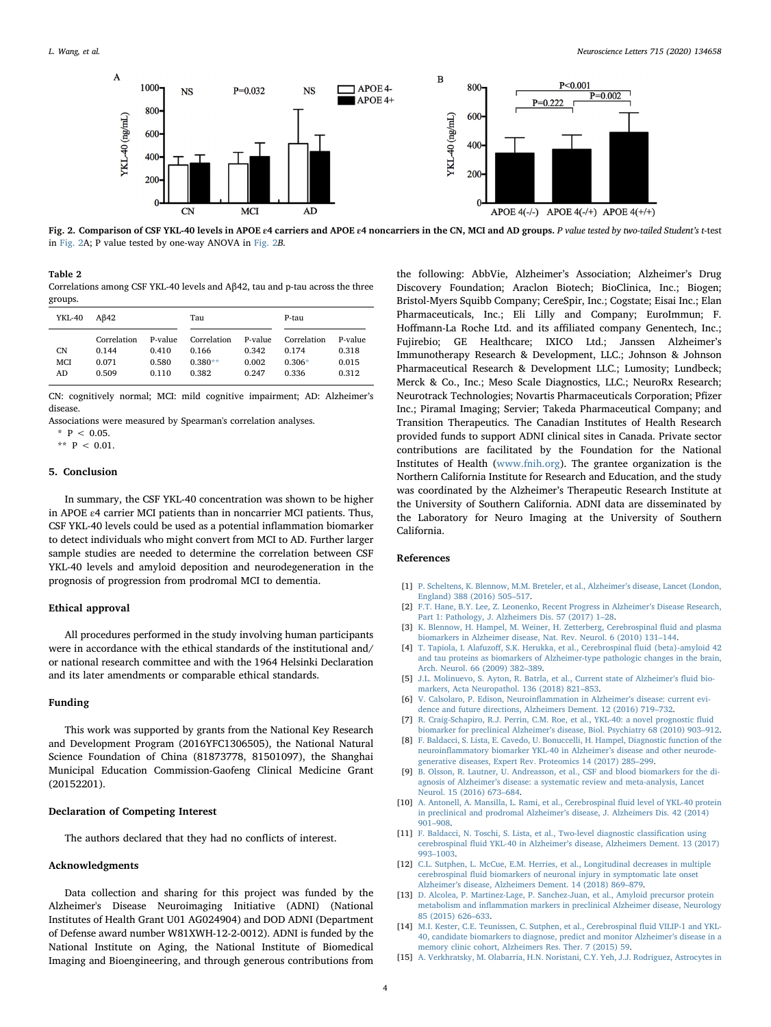<span id="page-3-11"></span>

Fig. 2. Comparison of CSF YKL-40 levels in APOE ε4 carriers and APOE ε4 noncarriers in the CN, MCI and AD groups. P value tested by two-tailed Student's t-test in [Fig. 2A](#page-3-11); P value tested by one-way ANOVA in [Fig. 2](#page-3-11)B.

<span id="page-3-12"></span>Table 2

Correlations among CSF YKL-40 levels and Aβ42, tau and p-tau across the three groups.

| YKL-40 | Aß42        |         | Tau         |         | P-tau       |         |
|--------|-------------|---------|-------------|---------|-------------|---------|
|        | Correlation | P-value | Correlation | P-value | Correlation | P-value |
| CN     | 0.144       | 0.410   | 0.166       | 0.342   | 0.174       | 0.318   |
| MCI    | 0.071       | 0.580   | $0.380**$   | 0.002   | $0.306*$    | 0.015   |
| AD     | 0.509       | 0.110   | 0.382       | 0.247   | 0.336       | 0.312   |

CN: cognitively normal; MCI: mild cognitive impairment; AD: Alzheimer's disease.

Associations were measured by Spearman's correlation analyses.

<span id="page-3-15"></span> $*$  P < 0.05.

<span id="page-3-14"></span>\*\*  $P$  < 0.01.

# 5. Conclusion

In summary, the CSF YKL-40 concentration was shown to be higher in APOE ε4 carrier MCI patients than in noncarrier MCI patients. Thus, CSF YKL-40 levels could be used as a potential inflammation biomarker to detect individuals who might convert from MCI to AD. Further larger sample studies are needed to determine the correlation between CSF YKL-40 levels and amyloid deposition and neurodegeneration in the prognosis of progression from prodromal MCI to dementia.

#### Ethical approval

All procedures performed in the study involving human participants were in accordance with the ethical standards of the institutional and/ or national research committee and with the 1964 Helsinki Declaration and its later amendments or comparable ethical standards.

#### Funding

This work was supported by grants from the National Key Research and Development Program (2016YFC1306505), the National Natural Science Foundation of China (81873778, 81501097), the Shanghai Municipal Education Commission-Gaofeng Clinical Medicine Grant (20152201).

# Declaration of Competing Interest

The authors declared that they had no conflicts of interest.

# Acknowledgments

Data collection and sharing for this project was funded by the Alzheimer's Disease Neuroimaging Initiative (ADNI) (National Institutes of Health Grant U01 AG024904) and DOD ADNI (Department of Defense award number W81XWH-12-2-0012). ADNI is funded by the National Institute on Aging, the National Institute of Biomedical Imaging and Bioengineering, and through generous contributions from the following: AbbVie, Alzheimer's Association; Alzheimer's Drug Discovery Foundation; Araclon Biotech; BioClinica, Inc.; Biogen; Bristol-Myers Squibb Company; CereSpir, Inc.; Cogstate; Eisai Inc.; Elan Pharmaceuticals, Inc.; Eli Lilly and Company; EuroImmun; F. Hoffmann-La Roche Ltd. and its affiliated company Genentech, Inc.; Fujirebio; GE Healthcare; IXICO Ltd.; Janssen Alzheimer's Immunotherapy Research & Development, LLC.; Johnson & Johnson Pharmaceutical Research & Development LLC.; Lumosity; Lundbeck; Merck & Co., Inc.; Meso Scale Diagnostics, LLC.; NeuroRx Research; Neurotrack Technologies; Novartis Pharmaceuticals Corporation; Pfizer Inc.; Piramal Imaging; Servier; Takeda Pharmaceutical Company; and Transition Therapeutics. The Canadian Institutes of Health Research provided funds to support ADNI clinical sites in Canada. Private sector contributions are facilitated by the Foundation for the National Institutes of Health ([www.fnih.org\)](http://www.fnih.org). The grantee organization is the Northern California Institute for Research and Education, and the study was coordinated by the Alzheimer's Therapeutic Research Institute at the University of Southern California. ADNI data are disseminated by the Laboratory for Neuro Imaging at the University of Southern California.

# References

- <span id="page-3-0"></span>[1] [P. Scheltens, K. Blennow, M.M. Breteler, et al., Alzheimer](http://refhub.elsevier.com/S0304-3940(19)30761-X/sbref0005)'s disease, Lancet (London, [England\) 388 \(2016\) 505](http://refhub.elsevier.com/S0304-3940(19)30761-X/sbref0005)–517.
- <span id="page-3-1"></span>[2] [F.T. Hane, B.Y. Lee, Z. Leonenko, Recent Progress in Alzheimer](http://refhub.elsevier.com/S0304-3940(19)30761-X/sbref0010)'s Disease Research, [Part 1: Pathology, J. Alzheimers Dis. 57 \(2017\) 1](http://refhub.elsevier.com/S0304-3940(19)30761-X/sbref0010)–28.
- <span id="page-3-2"></span>[3] [K. Blennow, H. Hampel, M. Weiner, H. Zetterberg, Cerebrospinal](http://refhub.elsevier.com/S0304-3940(19)30761-X/sbref0015) fluid and plasma [biomarkers in Alzheimer disease, Nat. Rev. Neurol. 6 \(2010\) 131](http://refhub.elsevier.com/S0304-3940(19)30761-X/sbref0015)–144.
- <span id="page-3-3"></span>[4] T. Tapiola, I. Alafuzoff[, S.K. Herukka, et al., Cerebrospinal](http://refhub.elsevier.com/S0304-3940(19)30761-X/sbref0020) fluid {beta}-amyloid 42 [and tau proteins as biomarkers of Alzheimer-type pathologic changes in the brain,](http://refhub.elsevier.com/S0304-3940(19)30761-X/sbref0020) [Arch. Neurol. 66 \(2009\) 382](http://refhub.elsevier.com/S0304-3940(19)30761-X/sbref0020)–389.
- <span id="page-3-4"></span>[5] [J.L. Molinuevo, S. Ayton, R. Batrla, et al., Current state of Alzheimer](http://refhub.elsevier.com/S0304-3940(19)30761-X/sbref0025)'s fluid bio[markers, Acta Neuropathol. 136 \(2018\) 821](http://refhub.elsevier.com/S0304-3940(19)30761-X/sbref0025)–853.
- <span id="page-3-5"></span>[6] [V. Calsolaro, P. Edison, Neuroin](http://refhub.elsevier.com/S0304-3940(19)30761-X/sbref0030)flammation in Alzheimer's disease: current evi[dence and future directions, Alzheimers Dement. 12 \(2016\) 719](http://refhub.elsevier.com/S0304-3940(19)30761-X/sbref0030)–732.
- <span id="page-3-6"></span>[7] [R. Craig-Schapiro, R.J. Perrin, C.M. Roe, et al., YKL-40: a novel prognostic](http://refhub.elsevier.com/S0304-3940(19)30761-X/sbref0035) fluid biomarker for preclinical Alzheimer'[s disease, Biol. Psychiatry 68 \(2010\) 903](http://refhub.elsevier.com/S0304-3940(19)30761-X/sbref0035)–912.
- [8] [F. Baldacci, S. Lista, E. Cavedo, U. Bonuccelli, H. Hampel, Diagnostic function of the](http://refhub.elsevier.com/S0304-3940(19)30761-X/sbref0040) neuroinfl[ammatory biomarker YKL-40 in Alzheimer](http://refhub.elsevier.com/S0304-3940(19)30761-X/sbref0040)'s disease and other neurode[generative diseases, Expert Rev. Proteomics 14 \(2017\) 285](http://refhub.elsevier.com/S0304-3940(19)30761-X/sbref0040)–299.
- [9] [B. Olsson, R. Lautner, U. Andreasson, et al., CSF and blood biomarkers for the di](http://refhub.elsevier.com/S0304-3940(19)30761-X/sbref0045)agnosis of Alzheimer'[s disease: a systematic review and meta-analysis, Lancet](http://refhub.elsevier.com/S0304-3940(19)30761-X/sbref0045) [Neurol. 15 \(2016\) 673](http://refhub.elsevier.com/S0304-3940(19)30761-X/sbref0045)–684.
- <span id="page-3-7"></span>[10] [A. Antonell, A. Mansilla, L. Rami, et al., Cerebrospinal](http://refhub.elsevier.com/S0304-3940(19)30761-X/sbref0050) fluid level of YKL-40 protein [in preclinical and prodromal Alzheimer](http://refhub.elsevier.com/S0304-3940(19)30761-X/sbref0050)'s disease, J. Alzheimers Dis. 42 (2014) 901–[908.](http://refhub.elsevier.com/S0304-3940(19)30761-X/sbref0050)
- <span id="page-3-8"></span>[11] [F. Baldacci, N. Toschi, S. Lista, et al., Two-level diagnostic classi](http://refhub.elsevier.com/S0304-3940(19)30761-X/sbref0055)fication using cerebrospinal fluid YKL-40 in Alzheimer's [disease, Alzheimers Dement. 13 \(2017\)](http://refhub.elsevier.com/S0304-3940(19)30761-X/sbref0055) 993–[1003.](http://refhub.elsevier.com/S0304-3940(19)30761-X/sbref0055)
- <span id="page-3-9"></span>[12] [C.L. Sutphen, L. McCue, E.M. Herries, et al., Longitudinal decreases in multiple](http://refhub.elsevier.com/S0304-3940(19)30761-X/sbref0060) cerebrospinal fl[uid biomarkers of neuronal injury in symptomatic late onset](http://refhub.elsevier.com/S0304-3940(19)30761-X/sbref0060) Alzheimer'[s disease, Alzheimers Dement. 14 \(2018\) 869](http://refhub.elsevier.com/S0304-3940(19)30761-X/sbref0060)–879.
- [13] [D. Alcolea, P. Martinez-Lage, P. Sanchez-Juan, et al., Amyloid precursor protein](http://refhub.elsevier.com/S0304-3940(19)30761-X/sbref0065) metabolism and infl[ammation markers in preclinical Alzheimer disease, Neurology](http://refhub.elsevier.com/S0304-3940(19)30761-X/sbref0065) [85 \(2015\) 626](http://refhub.elsevier.com/S0304-3940(19)30761-X/sbref0065)–633.
- <span id="page-3-13"></span>[14] [M.I. Kester, C.E. Teunissen, C. Sutphen, et al., Cerebrospinal](http://refhub.elsevier.com/S0304-3940(19)30761-X/sbref0070) fluid VILIP-1 and YKL-[40, candidate biomarkers to diagnose, predict and monitor Alzheimer](http://refhub.elsevier.com/S0304-3940(19)30761-X/sbref0070)'s disease in a [memory clinic cohort, Alzheimers Res. Ther. 7 \(2015\) 59.](http://refhub.elsevier.com/S0304-3940(19)30761-X/sbref0070)
- <span id="page-3-10"></span>[15] [A. Verkhratsky, M. Olabarria, H.N. Noristani, C.Y. Yeh, J.J. Rodriguez, Astrocytes in](http://refhub.elsevier.com/S0304-3940(19)30761-X/sbref0075)